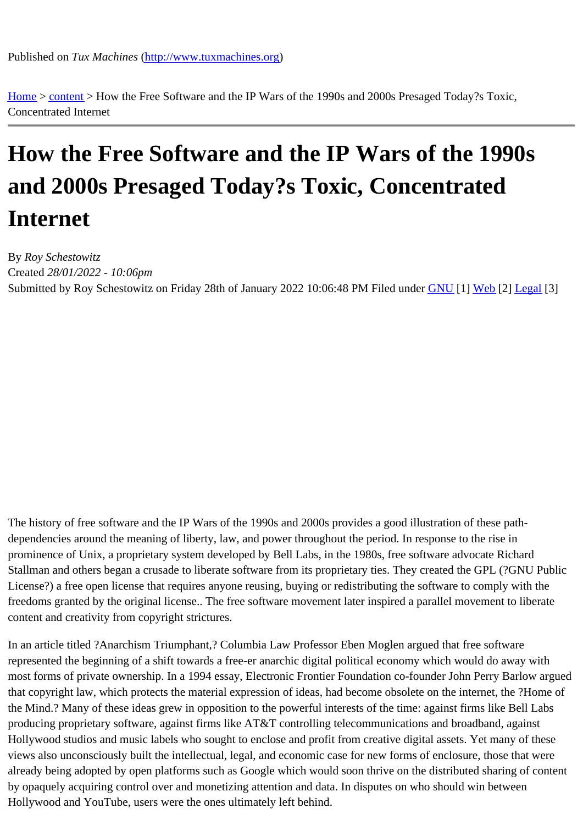Home > content > How the [Free Software and the IP W](http://www.tuxmachines.org)ars of the 1990s and 2000s Presaged Today?s Toxic, Concentrated Internet

## [Ho](http://www.tuxmachines.org/)[w the](http://www.tuxmachines.org/node) Free Software and the IP Wars of the 1990s and 2000s Presaged Today?s Toxic, Concentrated Internet

By Roy Schestowitz Created 28/01/2022 - 10:06pm Submitted by Roy Schestowitz on Friday 28th of January 2022 10:06:48 PM under GNU [1] Web[2] Legal[3]

The history of free software and the IP Wars of the 1990s and 2000s provides a good illustration of these pathdependencies around the meaning of liberty, law, and power throughout the period. In response to the rise in prominence of Unix, a proprietary system developed by Bell Labs, in the 1980s, free software advocate Richard Stallman and others began a crusade to liberate software from its proprietary ties. They created the GPL (?GNU F License?) a free open license that requires anyone reusing, buying or redistributing the software to comply with the freedoms granted by the original license.. The free software movement later inspired a parallel movement to libera content and creativity from copyright strictures.

In an article titled ?Anarchism Triumphant,? Columbia Law Professor Eben Moglen argued that free software represented the beginning of a shift towards a free-er anarchic digital political economy which would do away with most forms of private ownership. In a 1994 essay, Electronic Frontier Foundation co-founder John Perry Barlow ar that copyright law, which protects the material expression of ideas, had become obsolete on the internet, the ?Hor the Mind.? Many of these ideas grew in opposition to the powerful interests of the time: against firms like Bell Labs producing proprietary software, against firms like AT&T controlling telecommunications and broadband, against Hollywood studios and music labels who sought to enclose and profit from creative digital assets. Yet many of thes views also unconsciously built the intellectual, legal, and economic case for new forms of enclosure, those that we already being adopted by open platforms such as Google which would soon thrive on the distributed sharing of co by opaquely acquiring control over and monetizing attention and data. In disputes on who should win between Hollywood and YouTube, users were the ones ultimately left behind.